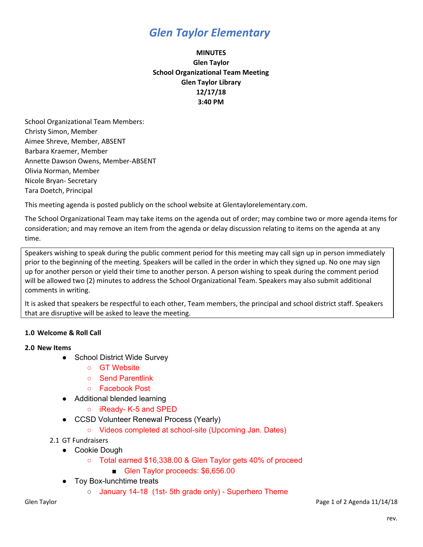# *Glen Taylor Elementary*

## **MINUTES Glen Taylor School Organizational Team Meeting Glen Taylor Library 12/17/18 3:40 PM**

School Organizational Team Members: Christy Simon, Member Aimee Shreve, Member, ABSENT Barbara Kraemer, Member Annette Dawson Owens, Member-ABSENT Olivia Norman, Member Nicole Bryan- Secretary Tara Doetch, Principal

This meeting agenda is posted publicly on the school website at Glentaylorelementary.com.

The School Organizational Team may take items on the agenda out of order; may combine two or more agenda items for consideration; and may remove an item from the agenda or delay discussion relating to items on the agenda at any time.

Speakers wishing to speak during the public comment period for this meeting may call sign up in person immediately prior to the beginning of the meeting. Speakers will be called in the order in which they signed up. No one may sign up for another person or yield their time to another person. A person wishing to speak during the comment period will be allowed two (2) minutes to address the School Organizational Team. Speakers may also submit additional comments in writing.

It is asked that speakers be respectful to each other, Team members, the principal and school district staff. Speakers that are disruptive will be asked to leave the meeting.

## **1.0 Welcome & Roll Call**

### **2.0 New Items**

- School District Wide Survey
	- GT Website
	- Send Parentlink
	- Facebook Post
- Additional blended learning
	- iReady- K-5 and SPED
- CCSD Volunteer Renewal Process (Yearly)
	- Videos completed at school-site (Upcoming Jan. Dates)

2.1 GT Fundraisers

- Cookie Dough
	- Total earned \$16,338.00 & Glen Taylor gets 40% of proceed
		- Glen Taylor proceeds: \$6,656.00
- Toy Box-lunchtime treats
	- January 14-18 (1st- 5th grade only) Superhero Theme

Glen Taylor Page 1 of 2 Agenda 11/14/18